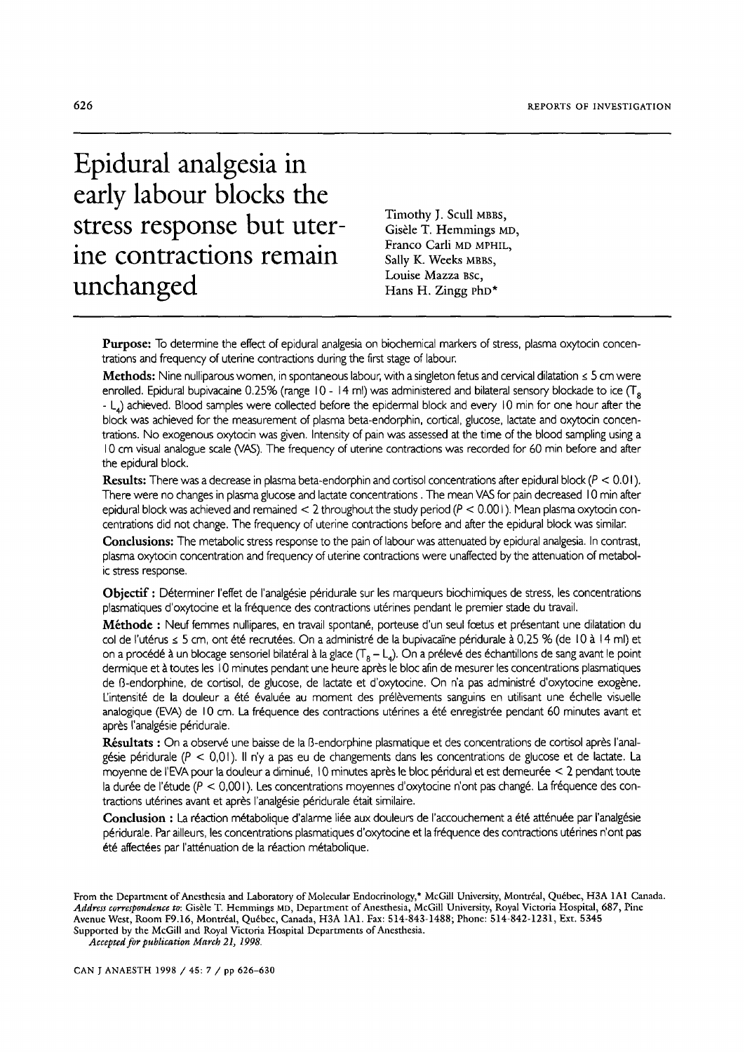# **Epidural analgesia in early labour blocks the stress response but uterine contractions remain unchanged**

Timothy J. Scull MBBS, Gisèle T. Hemmings MD, Franco Carli MD MPHIL, Sally K. Weeks MBBS, Louise Mazza Bsc, Hans H. Zingg  $rho*$ 

Purpose: To determine the effect of epidural analgesia on biochemical markers of stress, plasma oxytocin concentrations and frequency of uterine contractions during the first stage of labour.

Methods: Nine nulliparous women, in spontaneous labour, with a singleton fetus and cervical dilatation  $\leq$  5 cm were enrolled. Epidural bupivacaine 0.25% (range  $10 - 14$  ml) was administered and bilateral sensory blockade to ice  $(T_8)$ - L<sub>4</sub>) achieved. Blood samples were collected before the epidermal block and every 10 min for one hour after the block was achieved for the measurement of plasma beta-endorphin, cortical, glucose, lactate and oxytocin concentrations. No exogenous oxytocin was given. Intensity of pain was assessed at the time of the blood sampling using a I0 cm visual analogue scale (VAS). The frequency of uterine contractions was recorded for 60 rain before and after the epidural block.

**Results:** There was a decrease in plasma beta-endorphin and cortisol concentrations after epidural block ( $P < 0.01$ ). There were no changes in plasma glucose and lactate concentrations. The mean VAS for pain decreased 10 min after epidural block was achieved and remained  $< 2$  throughout the study period ( $P < 0.001$ ). Mean plasma oxytocin concentrations did not change. The frequency of uterine contractions before and after the epidural block was similar.

**Condusions:** The metabolic stress response to the pain of labour was attenuated by epidural analgesia. In contrast, plasma oxytocin concentration and frequency of uterine contractions were unaffected by the attenuation of metabolic stress response.

Objectif : Déterminer l'effet de l'analgésie péridurale sur les marqueurs biochimiques de stress, les concentrations plasmatiques d'oxytocine et la fréquence des contractions utérines pendant le premier stade du travail.

Méthode : Neuf femmes nullipares, en travail spontané, porteuse d'un seul foetus et présentant une dilatation du col de l'utérus ≤ 5 cm, ont été recrutées. On a administré de la bupivacaïne péridurale à 0,25 % (de 10 à 14 ml) et on a procédé à un blocage sensoriel bilatéral à la glace  $(T_8 - L_4)$ . On a prélevé des échantillons de sang avant le point dermique et à toutes les 10 minutes pendant une heure après le bloc afin de mesurer les concentrations plasmatiques de ß-endorphine, de cortisol, de glucose, de lactate et d'oxytocine. On n'a pas administré d'oxytocine exogène. L'intensité de la douleur a été évaluée au moment des prélèvements sanguins en utilisant une échelle visuelle analogique (EVA) de 10 cm. La fréquence des contractions utérines a été enregistrée pendant 60 minutes avant et après l'analgésie péridurale.

Résultats : On a observé une baisse de la B-endorphine plasmatique et des concentrations de cortisol après l'analgésie péridurale ( $P < 0.01$ ). Il n'y a pas eu de changements dans les concentrations de glucose et de lactate. La moyenne de l'EVA pour la douleur a diminué, 10 minutes après le bloc péridural et est demeurée < 2 pendant toute la durée de l'étude ( $P < 0,001$ ). Les concentrations moyennes d'oxytocine n'ont pas changé. La fréquence des contractions utérines avant et après l'analgésie péridurale était similaire.

Conclusion : La réaction métabolique d'alarme liée aux douleurs de l'accouchement a été atténuée par l'analgésie péridurale. Par ailleurs, les concentrations plasmatiques d'oxytocine et la fréquence des contractions utérines n'ont pas été affectées par l'atténuation de la réaction métabolique.

From the Department of Anesthesia and Laboratory of Molecular Endocrinology,\* McGill University, Montréal, Québec, H3A 1A1 Canada. Address correspondence to: Gisèle T. Hemmings MD, Department of Anesthesia, McGill University, Royal Victoria Hospital, 687, Pine Avenue West, Room F9.16, Montréal, Québec, Canada, H3A 1A1. Fax: 514-843-1488; Phone: 514-842-1231, Ext. 5345 Supported by the McGill and Royal Victoria Hospital Departments of Anesthesia.

*Accepted for publication March 21, 1998.*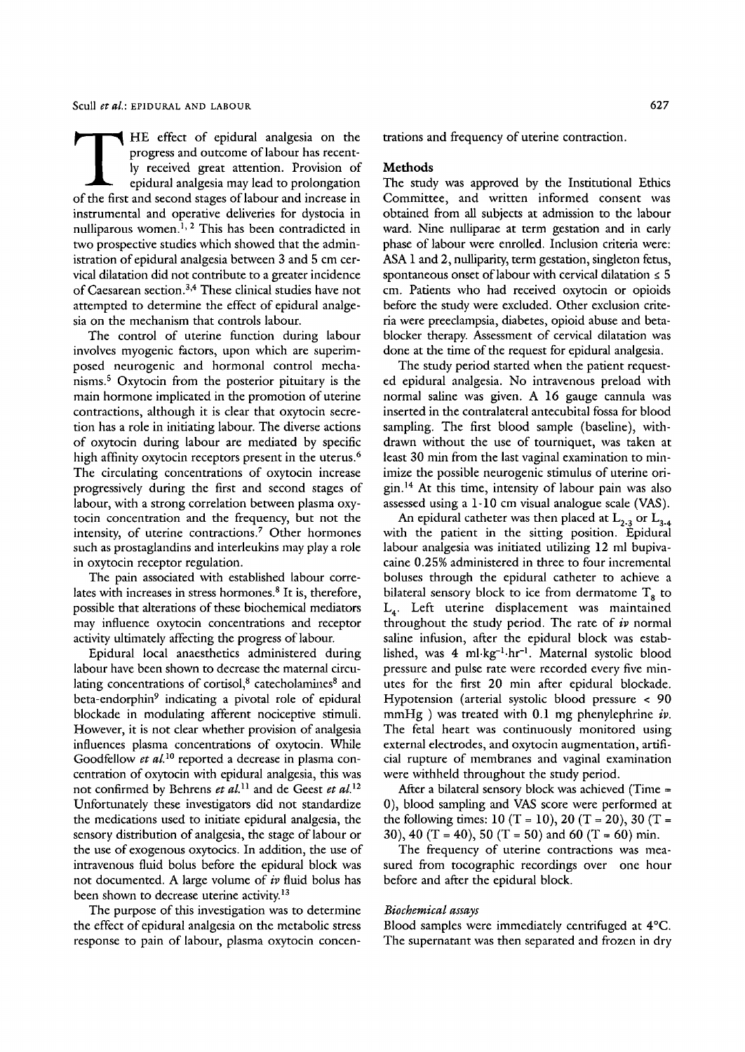THE effect of epidural analgesia on the<br>progress and outcome of labour has recent-<br>ly received great attention. Provision of<br>epidural analgesia may lead to prolongation<br>of the first and second stages of labour and increase progress and outcome of labour has recently received great attention. Provision of epidural analgesia may lead to prolongation of the first and second stages of labour and increase in instrumental and operative deliveries for dystocia in nulliparous women.<sup>1, 2</sup> This has been contradicted in two prospective studies which showed that the administration of epidural analgesia between 3 and 5 cm cervical dilatation did not contribute to a greater incidence of Caesarean section.<sup>3,4</sup> These clinical studies have not attempted to determine the effect of epidural analgesia on the mechanism that controls labour.

The control of uterine function during labour involves myogenic factors, upon which are superimposed neurogenic and hormonal control mechanisms.<sup>5</sup> Oxytocin from the posterior pituitary is the main hormone implicated in the promotion of uterine contractions, although it is clear that oxytocin secretion has a role in initiating labour. The diverse actions of oxytocin during labour are mediated by specific high affinity oxytocin receptors present in the uterus.<sup>6</sup> The circulating concentrations of oxytocin increase progressively during the first and second stages of labour, with a strong correlation between plasma oxytocin concentration and the frequency, but not the intensity, of uterine contractions.<sup>7</sup> Other hormones such as prostaglandins and interleukins may play a role in oxytocin receptor regulation.

The pain associated with established labour correlates with increases in stress hormones. $8$  It is, therefore, possible that alterations of these biochemical mediators may influence oxytocin concentrations and receptor activity ultimately affecting the progress of labour.

Epidural local anaesthetics administered during labour have been shown to decrease the maternal circulating concentrations of cortisol,<sup>8</sup> catecholamines<sup>8</sup> and beta-endorphin<sup>9</sup> indicating a pivotal role of epidural blockade in modulating afferent nociceptive stimuli. However, it is not clear whether provision of analgesia influences plasma concentrations of oxytocin. While Goodfellow *et al.*<sup>10</sup> reported a decrease in plasma concentration of oxytocin with epidural analgesia, this was not confirmed by Behrens *et al. H* and de Geest *et al. 12*  Unfortunately these investigators did not standardize the medications used to initiate epidural analgesia, the sensory distribution of analgesia, the stage of labour or the use of exogenous oxytocics. In addition, the use of intravenous fluid bolus before the epidural block was not documented. A large volume of *iv* fluid bolus has been shown to decrease uterine activity.<sup>13</sup>

The purpose of this investigation was to determine the effect of epidural analgesia on the metabolic stress response to pain of labour, plasma oxytocin concentrations and frequency of uterine contraction.

### Methods

The study was approved by the Institutional Ethics Committee, and written informed consent was obtained from all subjects at admission to the labour ward. Nine nulliparae at term gestation and in early phase of labour were enrolled. Inclusion criteria were: ASA 1 and 2, nulliparity, term gestation, singleton fetus, spontaneous onset of labour with cervical dilatation  $\leq 5$ cm. Patients who had received oxytocin or opioids before the study were excluded. Other exclusion criteria were preeclampsia, diabetes, opioid abuse and betablocker therapy. Assessment of cervical dilatation was done at the time of the request for epidural analgesia.

The study period started when the patient requested epidural analgesia. No intravenous preload with normal saline was given. A 16 gauge cannula was inserted in the contralateral antecubital fossa for blood sampling. The first blood sample (baseline), withdrawn without the use of tourniquet, was taken at least 30 min from the last vaginal examination to minimize the possible neurogenic stimulus of uterine origin. 14 At this time, intensity of labour pain was also assessed using a 1-10 cm visual analogue scale (VAS).

An epidural catheter was then placed at  $L_{2,3}$  or  $L_{3,4}$ with the patient in the sitting position. Epidural labour analgesia was initiated utilizing 12 ml bupivacaine 0.25% administered in three to four incremental boluses through the epidural catheter to achieve a bilateral sensory block to ice from dermatome  $T<sub>8</sub>$  to  $L<sub>4</sub>$ . Left uterine displacement was maintained throughout the study period. The rate of *iv* normal saline infusion, after the epidural block was established, was 4 ml·kg<sup>-1</sup>·hr<sup>-1</sup>. Maternal systolic blood pressure and pulse rate were recorded every five minutes for the first 20 min after epidural blockade. Hypotension (arterial systolic blood pressure < 90  $mmHg$ ) was treated with 0.1 mg phenylephrine *iv*. The fetal heart was continuously monitored using external electrodes, and oxytocin augmentation, artificial rupture of membranes and vaginal examination were withheld throughout the study period.

After a bilateral sensory block was achieved (Time = 0), blood sampling and VAS score were performed at the following times:  $10 (T = 10)$ ,  $20 (T = 20)$ ,  $30 (T =$ 30), 40 (T = 40), 50 (T = 50) and 60 (T = 60) min.

The frequency of uterine contractions was measured from tocographic recordings over one hour before and after the epidural block.

#### *Biochemical assays*

Blood samples were immediately centrifuged at 4°C. The supernatant was then separated and frozen in dry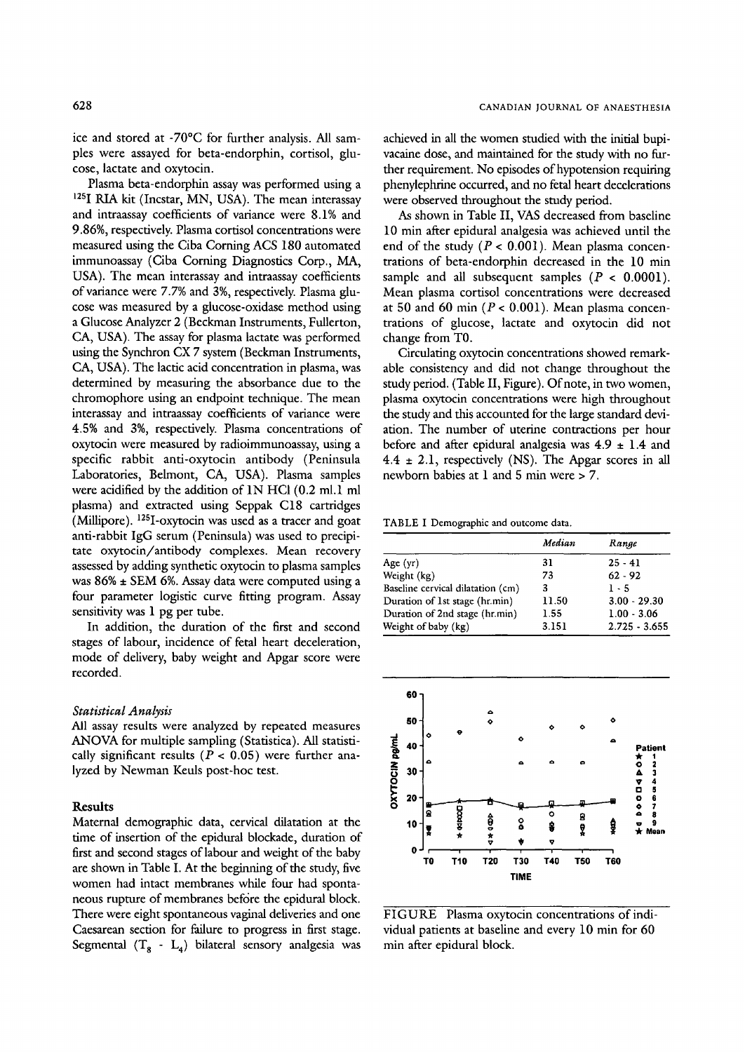ice and stored at -70°C for further analysis. All samples were assayed for beta-endorphin, cortisol, glucose, lactate and oxytocin.

Plasma beta-endorphin assay was performed using a 125I RIA kit (Incstar, MN, USA). The mean interassay and intraassay coefficients of variance were 8.1% and 9.86%, respectively. Plasma cortisol concentrations were measured using the Ciba Coming ACS 180 automated immunoassay (Ciba Corning Diagnostics Corp., MA, USA). The mean interassay and intraassay coefficients of variance were 7.7% and 3%, respectively. Plasma glucose was measured by a glucose-oxidase method using a Glucose Analyzer 2 (Beckman Instruments, Fullerton, CA, USA). The assay for plasma lactate was performed using the Synchron CX 7 system (Beckman Instruments, CA, USA). The lactic acid concentration in plasma, was determined by measuring the absorbance due to the chromophore using an endpoint technique. The mean interassay and intraassay coefficients of variance were 4.5% and 3%, respectively. Plasma concentrations of oxytocin were measured by radioimmunoassay, using a specific rabbit anti-oxytocin antibody (Peninsula Laboratories, Belmont, CA, USA). Plasma samples were acidified by the addition of 1N HCI (0.2 ml.1 ml plasma) and extracted using Seppak C18 cartridges (Millipore). I2SI-oxytocin was used as a tracer and goat anti-rabbit IgG serum (Peninsula) was used to precipitate oxytocin/antibody complexes. Mean recovery assessed by adding synthetic oxytocin to plasma samples was 86% • SEM 6%. Assay data were computed using a four parameter logistic curve fitting program. Assay sensitivity was 1 pg per tube.

In addition, the duration of the first and second stages of labour, incidence of fetal heart deceleration, mode of delivery, baby weight and Apgar score were recorded.

### *Statistical Analysis*

All assay results were analyzed by repeated measures ANOVA for multiple sampling (Statistica). All statistically significant results ( $P < 0.05$ ) were further analyzed by Newman Keuls post-hoc test.

## **Results**

Maternal demographic data, cervical dilatation at the time of insertion of the epidural blockade, duration of first and second stages of labour and weight of the baby are shown in Table I. At the beginning of the study, five women had intact membranes while four had spontaneous rupture of membranes before the epidural block. There were eight spontaneous vaginal deliveries and one Caesarean section for failure to progress in first stage. Segmental  $(T_8 - L_4)$  bilateral sensory analgesia was

achieved in all the women studied with the initial bupivacaine dose, and maintained for the study with no further requirement. No episodes of hypotension requiring phenylephrine occurred, and no fetal heart decelerations were observed throughout the study period.

As shown in Table II, VAS decreased from baseline 10 min after epidural analgesia was achieved until the end of the study ( $P < 0.001$ ). Mean plasma concentrations of beta-endorphin decreased in the 10 min sample and all subsequent samples ( $P < 0.0001$ ). Mean plasma cortisol concentrations were decreased at 50 and 60 min ( $P < 0.001$ ). Mean plasma concentrations of glucose, lactate and oxytocin did not change from TO.

Circulating oxytocin concentrations showed remarkable consistency and did not change throughout the study period. (Table II, Figure). Of note, in two women, plasma oxytocin concentrations were high throughout the study and this accounted for the large standard deviation. The number of uterine contractions per hour before and after epidural analgesia was  $4.9 \pm 1.4$  and  $4.4 \pm 2.1$ , respectively (NS). The Apgar scores in all newborn babies at 1 and 5 min were > 7.

TABLE I Demographic and outcome data.

|                                   | Median | Range           |
|-----------------------------------|--------|-----------------|
| Age $(yr)$                        | 31     | $25 - 41$       |
| Weight (kg)                       | 73     | $62 - 92$       |
| Baseline cervical dilatation (cm) | 3      | $1 - 5$         |
| Duration of 1st stage (hr.min)    | 11.50  | $3.00 - 29.30$  |
| Duration of 2nd stage (hr.min)    | 1.55   | $1.00 - 3.06$   |
| Weight of baby (kg)               | 3.151  | $2.725 - 3.655$ |



FIGURE Plasma oxytocin concentrations of individual patients at baseline and every 10 min for 60 min after epidural block.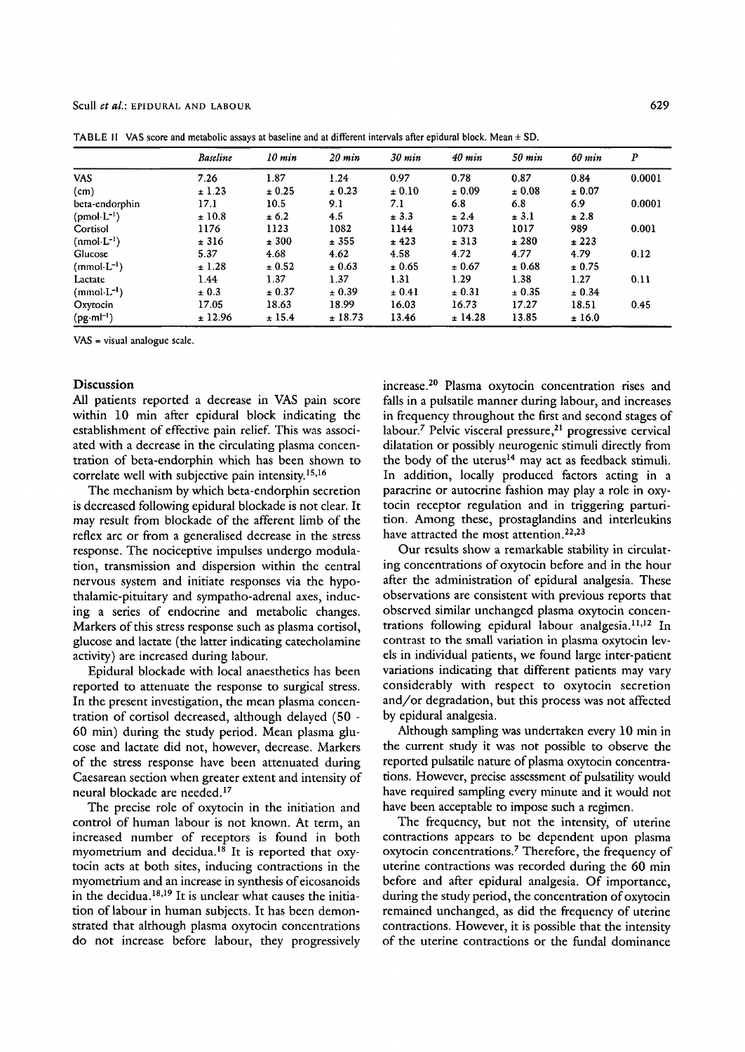|                       | Baseline  | $10 \; min$ | $20 \; min$ | $30 \; min$ | $40$ min | $50$ min | 60 min | $\boldsymbol{P}$ |
|-----------------------|-----------|-------------|-------------|-------------|----------|----------|--------|------------------|
| <b>VAS</b>            | 7.26      | 1.87        | 1.24        | 0.97        | 0.78     | 0.87     | 0.84   | 0.0001           |
| (cm)                  | ± 1.23    | ± 0.25      | ± 0.23      | ± 0.10      | ± 0.09   | ± 0.08   | ± 0.07 |                  |
| beta-endorphin        | 17.1      | 10.5        | 9.1         | 7.1         | 6.8      | 6.8      | 6.9    | 0.0001           |
| $(pmol \cdot L^{-1})$ | ±10.8     | ± 6.2       | 4.5         | ± 3.3       | ± 2.4    | ± 3.1    | ± 2.8  |                  |
| Cortisol              | 1176      | 1123        | 1082        | 1144        | 1073     | 1017     | 989    | 0.001            |
| $(nmol·L-1)$          | ± 316     | ± 300       | ± 355       | ± 423       | ± 313    | ± 280    | ± 223  |                  |
| Glucose               | 5.37      | 4.68        | 4.62        | 4.58        | 4.72     | 4.77     | 4.79   | 0.12             |
| $(mmol·L-1)$          | ± 1.28    | ± 0.52      | ± 0.63      | ± 0.65      | ± 0.67   | ± 0.68   | ± 0.75 |                  |
| Lactate               | 1.44      | 1.37        | 1.37        | 1.31        | 1.29     | 1.38     | 1.27   | 0.11             |
| $(mmol·L-1)$          | $\pm 0.3$ | ± 0.37      | ± 0.39      | ± 0.41      | ± 0.31   | ± 0.35   | ± 0.34 |                  |
| Oxytocin              | 17.05     | 18.63       | 18.99       | 16.03       | 16.73    | 17.27    | 18.51  | 0.45             |
| $(pg·ml^{-1})$        | ± 12.96   | ± 15.4      | ±18.73      | 13.46       | ± 14.28  | 13.85    | ±16.0  |                  |

TABLE II VAS score and metabolic assays at baseline and at different intervals after epidural block. Mean + SD.

VAS = visual analogue scale.

## **Discussion**

All patients reported a decrease in VAS pain score within 10 min after epidural block indicating the establishment of effective pain relief. This was associated with a decrease in the circulating plasma concentration of beta-endorphin which has been shown to correlate well with subjective pain intensity.<sup>15,16</sup>

The mechanism by which beta-endorphin secretion is decreased following epidural blockade is not clear. It may result from blockade of the afferent limb of the reflex arc or from a generalised decrease in the stress response. The nociceptive impulses undergo modulation, transmission and dispersion within the central nervous system and initiate responses via the hypothalamic-pituitary and sympatho-adrenal axes, inducing a series of endocrine and metabolic changes. Markers of this stress response such as plasma cortisol, glucose and lactate (the latter indicating catecholamine activity) are increased during labour.

Epidural blockade with local anaesthetics has been reported to attenuate the response to surgical stress. In the present investigation, the mean plasma concentration of cortisol decreased, although delayed (50 - 60 min) during the study period. Mean plasma glucose and lactate did not, however, decrease. Markers of the stress response have been attenuated during Caesarean section when greater extent and intensity of neural blockade are needed.<sup>17</sup>

The precise role of oxytocin in the initiation and control of human labour is not known. At term, an increased number of receptors is found in both myometrium and decidua.<sup>18</sup> It is reported that oxytocin acts at both sites, inducing contractions in the myometrium and an increase in synthesis of eicosanoids in the decidua.<sup>18,19</sup> It is unclear what causes the initiation of labour in human subjects. It has been demonstrated that although plasma oxytocin concentrations do not increase before labour, they progressively increase.<sup>20</sup> Plasma oxytocin concentration rises and falls in a pulsatile manner during labour, and increases in frequency throughout the first and second stages of labour.<sup>7</sup> Pelvic visceral pressure,<sup>21</sup> progressive cervical dilatation or possibly neurogenic stimuli directly from the body of the uterus<sup>14</sup> may act as feedback stimuli. In addition, locally produced factors acting in a paracrine or autocrine fashion may play a role in oxytocin receptor regulation and in triggering parturition. Among these, prostaglandins and interleukins have attracted the most attention.<sup>22,23</sup>

Our results show a remarkable stability in circulating concentrations of oxytocin before and in the hour after the administration of epidural analgesia. These observations are consistent with previous reports that observed similar unchanged plasma oxytocin concentrations following epidural labour analgesia.<sup>11,12</sup> In contrast to the small variation in plasma oxytocin levels in individual patients, we found large inter-patient variations indicating that different patients may vary considerably with respect to oxytocin secretion and/or degradation, but this process was not affected by epidural analgesia.

Although sampling was undertaken every 10 min in the current study it was not possible to observe the reported pulsatile nature of plasma oxytocin concentrations. However, precise assessment of pulsatility would have required sampling every minute and it would not have been acceptable to impose such a regimen.

The frequency, but not the intensity, of uterine contractions appears to be dependent upon plasma oxytocin concentrations.<sup>7</sup> Therefore, the frequency of uterine contractions was recorded during the 60 min before and after epidural analgesia. Of importance, during the study period, the concentration of oxytocin remained unchanged, as did the frequency of uterine contractions. However, it is possible that the intensity of the uterine contractions or the fundal dominance